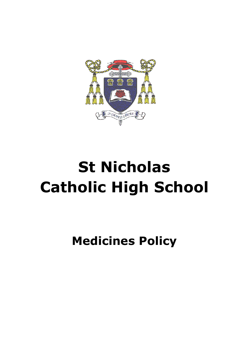

## **St Nicholas Catholic High School**

**Medicines Policy**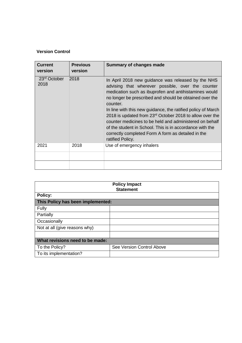## **Version Control**

| <b>Current</b><br>version        | <b>Previous</b><br>version | <b>Summary of changes made</b>                                                                                                                                                                                                                                                                                                                                                                                                                                                                                                                                         |
|----------------------------------|----------------------------|------------------------------------------------------------------------------------------------------------------------------------------------------------------------------------------------------------------------------------------------------------------------------------------------------------------------------------------------------------------------------------------------------------------------------------------------------------------------------------------------------------------------------------------------------------------------|
| 23 <sup>rd</sup> October<br>2018 | 2018                       | In April 2018 new guidance was released by the NHS<br>advising that wherever possible, over the counter<br>medication such as ibuprofen and antihistamines would<br>no longer be prescribed and should be obtained over the<br>counter.<br>In line with this new guidance, the ratified policy of March<br>2018 is updated from $23rd$ October 2018 to allow over the<br>counter medicines to be held and administered on behalf<br>of the student in School. This is in accordance with the<br>correctly completed Form A form as detailed in the<br>ratified Policy. |
| 2021                             | 2018                       | Use of emergency inhalers                                                                                                                                                                                                                                                                                                                                                                                                                                                                                                                                              |
|                                  |                            |                                                                                                                                                                                                                                                                                                                                                                                                                                                                                                                                                                        |

| <b>Policy Impact</b><br><b>Statement</b><br>Policy:<br>This Policy has been implemented: |                           |  |  |           |  |
|------------------------------------------------------------------------------------------|---------------------------|--|--|-----------|--|
|                                                                                          |                           |  |  | Fully     |  |
|                                                                                          |                           |  |  | Partially |  |
| Occasionally                                                                             |                           |  |  |           |  |
| Not at all (give reasons why)                                                            |                           |  |  |           |  |
|                                                                                          |                           |  |  |           |  |
| What revisions need to be made:                                                          |                           |  |  |           |  |
| To the Policy?                                                                           | See Version Control Above |  |  |           |  |
| To its implementation?                                                                   |                           |  |  |           |  |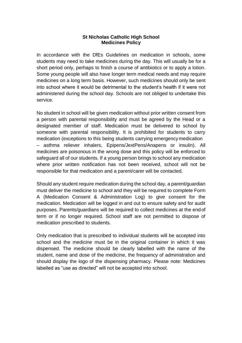## **St Nicholas Catholic High School Medicines Policy**

In accordance with the DfEs Guidelines on medication in schools, some students may need to take medicines during the day. This will usually be for a short period only, perhaps to finish a course of antibiotics or to apply a lotion. Some young people will also have longer term medical needs and may require medicines on a long term basis. However, such medicines should only be sent into school where it would be detrimental to the student's health if it were not administered during the school day. Schools are not obliged to undertake this service.

No student in school will be given medication without prior written consent from a person with parental responsibility and must be agreed by the Head or a designated member of staff. Medication must be delivered to school by someone with parental responsibility. It is prohibited for students to carry medication (exceptions to this being students carrying emergency medication – asthma reliever inhalers, Epipens/JextPens/Anapens or insulin). All medicines are poisonous in the wrong dose and this policy will be enforced to safeguard all of our students. If a young person brings to school any medication where prior written notification has not been received, school will not be responsible for that medication and a parent/carer will be contacted.

Should any student require medication during the school day, a parent/guardian must deliver the medicine to school and they will be required to complete Form A (Medication Consent & Administration Log) to give consent for the medication. Medication will be logged in and out to ensure safety and for audit purposes. Parents/guardians will be required to collect medicines at the end of term or if no longer required. School staff are not permitted to dispose of medication prescribed to students.

Only medication that is prescribed to individual students will be accepted into school and the medicine must be in the original container in which it was dispensed. The medicine should be clearly labelled with the name of the student, name and dose of the medicine, the frequency of administration and should display the logo of the dispensing pharmacy. Please note: Medicines labelled as "use as directed" will not be accepted into school.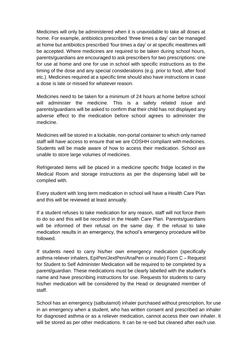Medicines will only be administered when it is unavoidable to take all doses at home. For example, antibiotics prescribed 'three times a day' can be managed at home but antibiotics prescribed 'four times a day' or at specific mealtimes will be accepted. Where medicines are required to be taken during school hours, parents/guardians are encouraged to ask prescribers for two prescriptions: one for use at home and one for use in school with specific instructions as to the timing of the dose and any special considerations (e.g. prior to food, after food etc.). Medicines required at a specific time should also have instructions in case a dose is late or missed for whatever reason.

Medicines need to be taken for a minimum of 24 hours at home before school will administer the medicine. This is a safety related issue and parents/guardians will be asked to confirm that their child has not displayed any adverse effect to the medication before school agrees to administer the medicine.

Medicines will be stored in a lockable, non-portal container to which only named staff will have access to ensure that we are COSHH compliant with medicines. Students will be made aware of how to access their medication. School are unable to store large volumes of medicines.

Refrigerated items will be placed in a medicine specific fridge located in the Medical Room and storage instructions as per the dispensing label will be complied with.

Every student with long term medication in school will have a Health Care Plan and this will be reviewed at least annually.

If a student refuses to take medication for any reason, staff will not force them to do so and this will be recorded in the Health Care Plan. Parents/guardians will be informed of their refusal on the same day. If the refusal to take medication results in an emergency, the school's emergency procedure will be followed.

If students need to carry his/her own emergency medication (specifically asthma reliever inhalers, EpiPen/JextPen/AnaPen or insulin) Form C – Request for Student to Self Administer Medication will be required to be completed by a parent/guardian. These medications must be clearly labelled with the student's name and have prescribing instructions for use. Requests for students to carry his/her medication will be considered by the Head or designated member of staff.

School has an emergency (salbutamol) inhaler purchased without prescription, for use in an emergency when a student, who has written consent and prescribed an inhaler for diagnosed asthma or as a reliever medication, cannot access their own inhaler. It will be stored as per other medications. It can be re-sed but cleaned after each use.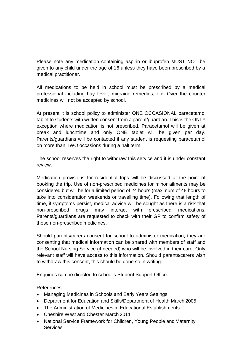Please note any medication containing aspirin or ibuprofen MUST NOT be given to any child under the age of 16 unless they have been prescribed by a medical practitioner.

All medications to be held in school must be prescribed by a medical professional including hay fever, migraine remedies, etc. Over the counter medicines will not be accepted by school.

At present it is school policy to administer ONE OCCASIONAL paracetamol tablet to students with written consent from a parent/guardian. This is the ONLY exception where medication is not prescribed. Paracetamol will be given at break and lunchtime and only ONE tablet will be given per day. Parents/guardians will be contacted if any student is requesting paracetamol on more than TWO occasions during a half term.

The school reserves the right to withdraw this service and it is under constant review.

Medication provisions for residential trips will be discussed at the point of booking the trip. Use of non-prescribed medicines for minor ailments may be considered but will be for a limited period of 24 hours (maximum of 48 hours to take into consideration weekends or travelling time). Following that length of time, if symptoms persist, medical advice will be sought as there is a risk that non-prescribed drugs may interact with prescribed medications. Parents/guardians are requested to check with their GP to confirm safety of these non-prescribed medicines.

Should parents/carers consent for school to administer medication, they are consenting that medical information can be shared with members of staff and the School Nursing Service (if needed) who will be involved in their care. Only relevant staff will have access to this information. Should parents/carers wish to withdraw this consent, this should be done so in writing.

Enquiries can be directed to school's Student Support Office.

References:

- Managing Medicines in Schools and Early Years Settings.
- Department for Education and Skills/Department of Health March 2005
- The Administration of Medicines in Educational Establishments
- Cheshire West and Chester March 2011
- National Service Framework for Children, Young People and Maternity **Services**